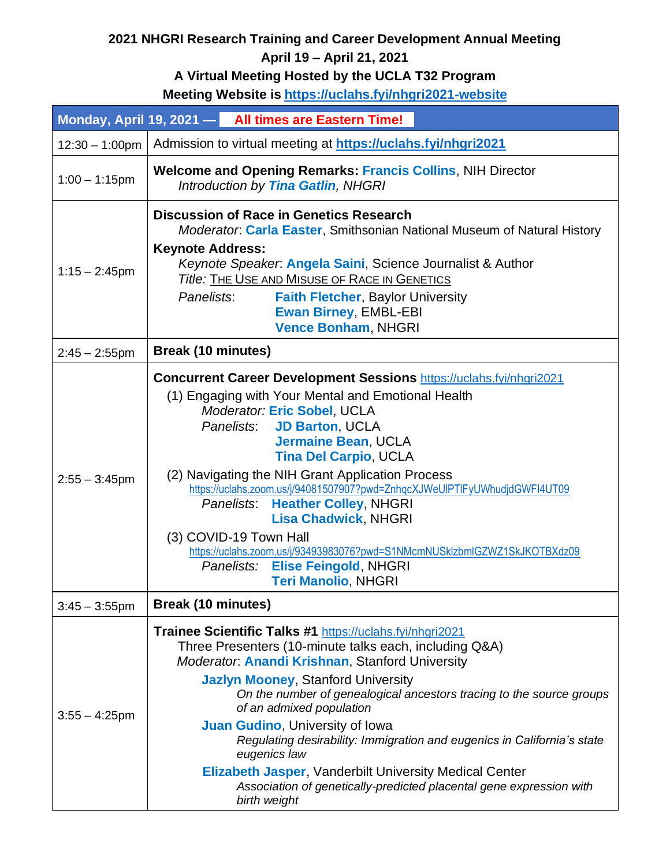## **2021 NHGRI Research Training and Career Development Annual Meeting**

## **April 19 – April 21, 2021**

## **A Virtual Meeting Hosted by the UCLA T32 Program**

**Meeting Website is<https://uclahs.fyi/nhgri2021-website>**

|                   |                                                                                                                                                                                                                                                                                                                                                                                                                                                                                                                                                                                                                      | Monday, April 19, 2021 - All times are Eastern Time!                                                                                                                                                                                                                                                                                                                                                                                                                                                                                                                                                                                                         |  |
|-------------------|----------------------------------------------------------------------------------------------------------------------------------------------------------------------------------------------------------------------------------------------------------------------------------------------------------------------------------------------------------------------------------------------------------------------------------------------------------------------------------------------------------------------------------------------------------------------------------------------------------------------|--------------------------------------------------------------------------------------------------------------------------------------------------------------------------------------------------------------------------------------------------------------------------------------------------------------------------------------------------------------------------------------------------------------------------------------------------------------------------------------------------------------------------------------------------------------------------------------------------------------------------------------------------------------|--|
| $12:30 - 1:00$ pm |                                                                                                                                                                                                                                                                                                                                                                                                                                                                                                                                                                                                                      | Admission to virtual meeting at https://uclahs.fyi/nhgri2021                                                                                                                                                                                                                                                                                                                                                                                                                                                                                                                                                                                                 |  |
| $1:00 - 1:15$ pm  | <b>Welcome and Opening Remarks: Francis Collins, NIH Director</b><br>Introduction by Tina Gatlin, NHGRI                                                                                                                                                                                                                                                                                                                                                                                                                                                                                                              |                                                                                                                                                                                                                                                                                                                                                                                                                                                                                                                                                                                                                                                              |  |
| $1:15 - 2:45$ pm  | <b>Keynote Address:</b><br>Panelists:                                                                                                                                                                                                                                                                                                                                                                                                                                                                                                                                                                                | <b>Discussion of Race in Genetics Research</b><br>Moderator: Carla Easter, Smithsonian National Museum of Natural History<br>Keynote Speaker. Angela Saini, Science Journalist & Author<br>Title: THE USE AND MISUSE OF RACE IN GENETICS<br><b>Faith Fletcher, Baylor University</b><br><b>Ewan Birney, EMBL-EBI</b><br><b>Vence Bonham, NHGRI</b>                                                                                                                                                                                                                                                                                                           |  |
| $2:45 - 2:55$ pm  | <b>Break (10 minutes)</b>                                                                                                                                                                                                                                                                                                                                                                                                                                                                                                                                                                                            |                                                                                                                                                                                                                                                                                                                                                                                                                                                                                                                                                                                                                                                              |  |
| $2:55 - 3:45$ pm  |                                                                                                                                                                                                                                                                                                                                                                                                                                                                                                                                                                                                                      | <b>Concurrent Career Development Sessions https://uclahs.fyi/nhgri2021</b><br>(1) Engaging with Your Mental and Emotional Health<br>Moderator: Eric Sobel, UCLA<br><b>JD Barton, UCLA</b><br>Panelists:<br><b>Jermaine Bean, UCLA</b><br><b>Tina Del Carpio, UCLA</b><br>(2) Navigating the NIH Grant Application Process<br>https://uclahs.zoom.us/j/94081507907?pwd=ZnhqcXJWeUIPTIFyUWhudjdGWFI4UT09<br>Panelists:<br><b>Heather Colley, NHGRI</b><br><b>Lisa Chadwick, NHGRI</b><br>(3) COVID-19 Town Hall<br>https://uclahs.zoom.us/j/93493983076?pwd=S1NMcmNUSklzbmlGZWZ1SkJKOTBXdz09<br>Panelists: Elise Feingold, NHGRI<br><b>Teri Manolio, NHGRI</b> |  |
| $3:45 - 3:55$ pm  | <b>Break (10 minutes)</b>                                                                                                                                                                                                                                                                                                                                                                                                                                                                                                                                                                                            |                                                                                                                                                                                                                                                                                                                                                                                                                                                                                                                                                                                                                                                              |  |
| $3:55 - 4:25$ pm  | Trainee Scientific Talks #1 https://uclahs.fyi/nhgri2021<br>Three Presenters (10-minute talks each, including Q&A)<br>Moderator: <b>Anandi Krishnan</b> , Stanford University<br><b>Jazlyn Mooney, Stanford University</b><br>On the number of genealogical ancestors tracing to the source groups<br>of an admixed population<br>Juan Gudino, University of Iowa<br>Regulating desirability: Immigration and eugenics in California's state<br>eugenics law<br><b>Elizabeth Jasper, Vanderbilt University Medical Center</b><br>Association of genetically-predicted placental gene expression with<br>birth weight |                                                                                                                                                                                                                                                                                                                                                                                                                                                                                                                                                                                                                                                              |  |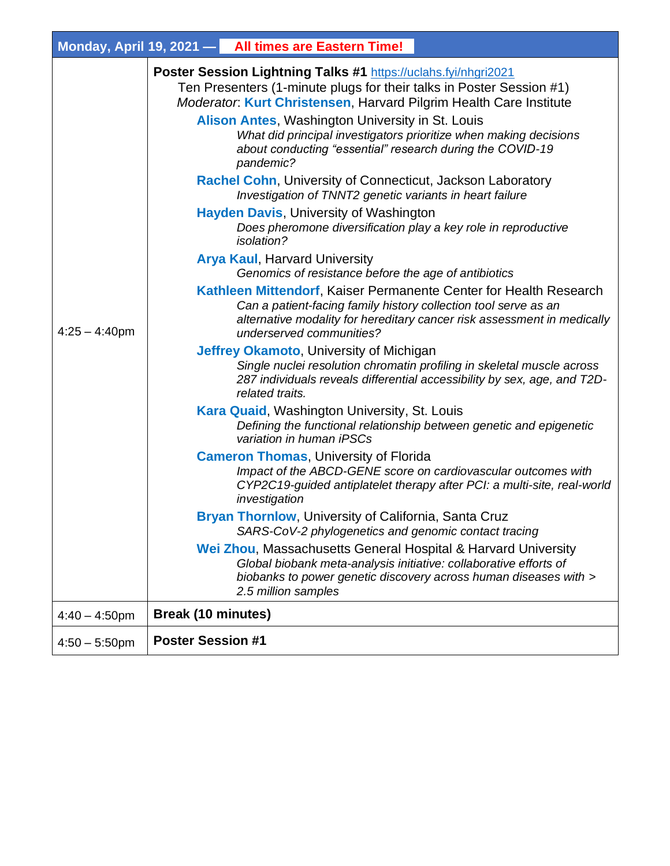|                  |                           | Monday, April 19, 2021 - All times are Eastern Time!                                                                                                                                                                                                                                                                                                                                                                                                                                                                                                                                                                                                                |                                                                                                                                                    |
|------------------|---------------------------|---------------------------------------------------------------------------------------------------------------------------------------------------------------------------------------------------------------------------------------------------------------------------------------------------------------------------------------------------------------------------------------------------------------------------------------------------------------------------------------------------------------------------------------------------------------------------------------------------------------------------------------------------------------------|----------------------------------------------------------------------------------------------------------------------------------------------------|
|                  |                           | Poster Session Lightning Talks #1 https://uclahs.fyi/nhgri2021<br>Ten Presenters (1-minute plugs for their talks in Poster Session #1)<br>Moderator: Kurt Christensen, Harvard Pilgrim Health Care Institute<br>Alison Antes, Washington University in St. Louis<br>What did principal investigators prioritize when making decisions<br>about conducting "essential" research during the COVID-19<br>pandemic?<br><b>Rachel Cohn, University of Connecticut, Jackson Laboratory</b><br>Investigation of TNNT2 genetic variants in heart failure<br><b>Hayden Davis, University of Washington</b><br>Does pheromone diversification play a key role in reproductive |                                                                                                                                                    |
| $4:25 - 4:40$ pm |                           | <i>isolation?</i><br><b>Arya Kaul, Harvard University</b><br>Genomics of resistance before the age of antibiotics                                                                                                                                                                                                                                                                                                                                                                                                                                                                                                                                                   |                                                                                                                                                    |
|                  |                           | Kathleen Mittendorf, Kaiser Permanente Center for Health Research<br>Can a patient-facing family history collection tool serve as an<br>underserved communities?                                                                                                                                                                                                                                                                                                                                                                                                                                                                                                    | alternative modality for hereditary cancer risk assessment in medically                                                                            |
|                  |                           | <b>Jeffrey Okamoto, University of Michigan</b><br>related traits.                                                                                                                                                                                                                                                                                                                                                                                                                                                                                                                                                                                                   | Single nuclei resolution chromatin profiling in skeletal muscle across<br>287 individuals reveals differential accessibility by sex, age, and T2D- |
|                  |                           | <b>Kara Quaid, Washington University, St. Louis</b><br>variation in human iPSCs                                                                                                                                                                                                                                                                                                                                                                                                                                                                                                                                                                                     | Defining the functional relationship between genetic and epigenetic                                                                                |
|                  |                           | <b>Cameron Thomas, University of Florida</b><br>investigation                                                                                                                                                                                                                                                                                                                                                                                                                                                                                                                                                                                                       | Impact of the ABCD-GENE score on cardiovascular outcomes with<br>CYP2C19-guided antiplatelet therapy after PCI: a multi-site, real-world           |
|                  |                           | <b>Bryan Thornlow, University of California, Santa Cruz</b><br>SARS-CoV-2 phylogenetics and genomic contact tracing                                                                                                                                                                                                                                                                                                                                                                                                                                                                                                                                                 |                                                                                                                                                    |
|                  |                           | Wei Zhou, Massachusetts General Hospital & Harvard University<br>Global biobank meta-analysis initiative: collaborative efforts of<br>2.5 million samples                                                                                                                                                                                                                                                                                                                                                                                                                                                                                                           | biobanks to power genetic discovery across human diseases with >                                                                                   |
| $4:40 - 4:50$ pm | <b>Break (10 minutes)</b> |                                                                                                                                                                                                                                                                                                                                                                                                                                                                                                                                                                                                                                                                     |                                                                                                                                                    |
| $4:50 - 5:50$ pm | <b>Poster Session #1</b>  |                                                                                                                                                                                                                                                                                                                                                                                                                                                                                                                                                                                                                                                                     |                                                                                                                                                    |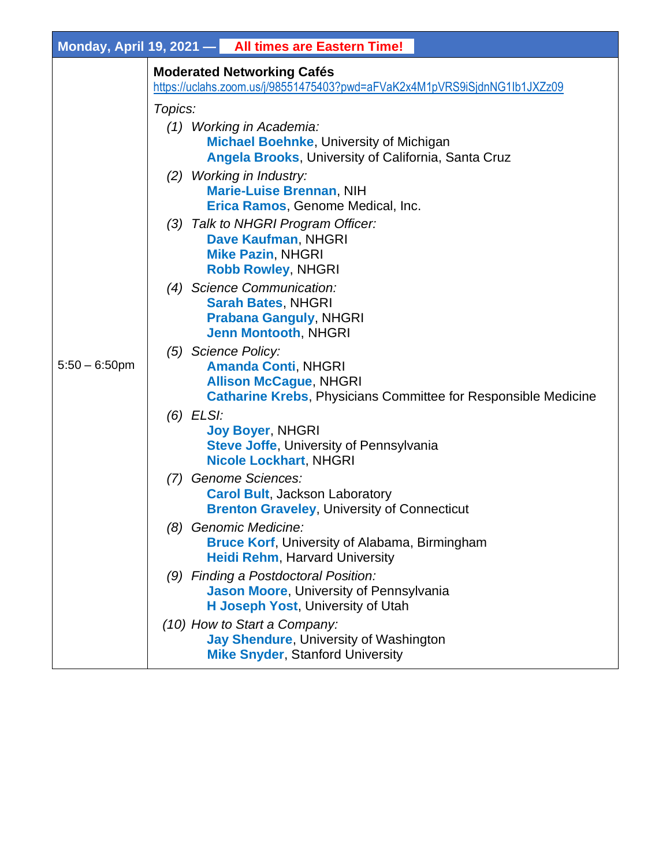|                  | Monday, April 19, 2021 - All times are Eastern Time!                                                                                                        |
|------------------|-------------------------------------------------------------------------------------------------------------------------------------------------------------|
|                  | <b>Moderated Networking Cafés</b><br>https://uclahs.zoom.us/j/98551475403?pwd=aFVaK2x4M1pVRS9iSjdnNG1lb1JXZz09                                              |
|                  | Topics:                                                                                                                                                     |
| $5:50 - 6:50$ pm | (1) Working in Academia:<br><b>Michael Boehnke, University of Michigan</b><br><b>Angela Brooks, University of California, Santa Cruz</b>                    |
|                  | (2) Working in Industry:<br><b>Marie-Luise Brennan, NIH</b><br>Erica Ramos, Genome Medical, Inc.                                                            |
|                  | (3) Talk to NHGRI Program Officer:<br>Dave Kaufman, NHGRI<br><b>Mike Pazin, NHGRI</b><br><b>Robb Rowley, NHGRI</b>                                          |
|                  | (4) Science Communication:<br><b>Sarah Bates, NHGRI</b><br><b>Prabana Ganguly, NHGRI</b><br><b>Jenn Montooth, NHGRI</b>                                     |
|                  | (5) Science Policy:<br><b>Amanda Conti, NHGRI</b><br><b>Allison McCague, NHGRI</b><br><b>Catharine Krebs, Physicians Committee for Responsible Medicine</b> |
|                  | $(6)$ ELSI:<br><b>Joy Boyer, NHGRI</b><br><b>Steve Joffe, University of Pennsylvania</b><br><b>Nicole Lockhart, NHGRI</b>                                   |
|                  | (7) Genome Sciences:<br><b>Carol Bult, Jackson Laboratory</b><br><b>Brenton Graveley, University of Connecticut</b>                                         |
|                  | (8) Genomic Medicine:<br><b>Bruce Korf, University of Alabama, Birmingham</b><br><b>Heidi Rehm, Harvard University</b>                                      |
|                  | (9) Finding a Postdoctoral Position:<br>Jason Moore, University of Pennsylvania<br>H Joseph Yost, University of Utah                                        |
|                  | (10) How to Start a Company:<br>Jay Shendure, University of Washington<br><b>Mike Snyder, Stanford University</b>                                           |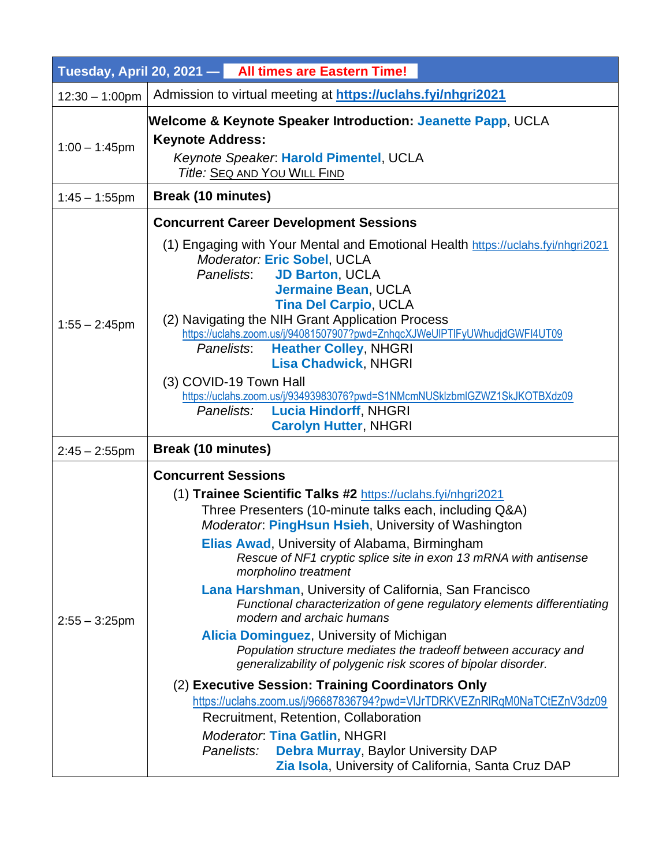|                   |                                                                                                                                                                                                                                                                                                                                                                                                                                                                                                                                                                                                                                           | Tuesday, April 20, 2021 - All times are Eastern Time!                                                                                                                                                                                                                                                                                                                                                                                                   |  |
|-------------------|-------------------------------------------------------------------------------------------------------------------------------------------------------------------------------------------------------------------------------------------------------------------------------------------------------------------------------------------------------------------------------------------------------------------------------------------------------------------------------------------------------------------------------------------------------------------------------------------------------------------------------------------|---------------------------------------------------------------------------------------------------------------------------------------------------------------------------------------------------------------------------------------------------------------------------------------------------------------------------------------------------------------------------------------------------------------------------------------------------------|--|
| $12:30 - 1:00$ pm |                                                                                                                                                                                                                                                                                                                                                                                                                                                                                                                                                                                                                                           | Admission to virtual meeting at https://uclahs.fyi/nhgri2021                                                                                                                                                                                                                                                                                                                                                                                            |  |
| $1:00 - 1:45$ pm  | Welcome & Keynote Speaker Introduction: Jeanette Papp, UCLA<br><b>Keynote Address:</b><br>Keynote Speaker. Harold Pimentel, UCLA<br>Title: SEQ AND YOU WILL FIND                                                                                                                                                                                                                                                                                                                                                                                                                                                                          |                                                                                                                                                                                                                                                                                                                                                                                                                                                         |  |
| $1:45 - 1:55$ pm  | <b>Break (10 minutes)</b>                                                                                                                                                                                                                                                                                                                                                                                                                                                                                                                                                                                                                 |                                                                                                                                                                                                                                                                                                                                                                                                                                                         |  |
| $1:55 - 2:45$ pm  | Panelists:<br>Panelists:<br>(3) COVID-19 Town Hall                                                                                                                                                                                                                                                                                                                                                                                                                                                                                                                                                                                        | <b>Concurrent Career Development Sessions</b><br>(1) Engaging with Your Mental and Emotional Health https://uclahs.fyi/nhgri2021<br>Moderator: Eric Sobel, UCLA<br><b>JD Barton, UCLA</b><br><b>Jermaine Bean, UCLA</b><br><b>Tina Del Carpio, UCLA</b><br>(2) Navigating the NIH Grant Application Process<br>https://uclahs.zoom.us/j/94081507907?pwd=ZnhqcXJWeUlPTIFyUWhudjdGWFI4UT09<br><b>Heather Colley, NHGRI</b><br><b>Lisa Chadwick, NHGRI</b> |  |
|                   | Panelists:                                                                                                                                                                                                                                                                                                                                                                                                                                                                                                                                                                                                                                | https://uclahs.zoom.us/j/93493983076?pwd=S1NMcmNUSklzbmlGZWZ1SkJKOTBXdz09<br><b>Lucia Hindorff, NHGRI</b><br><b>Carolyn Hutter, NHGRI</b>                                                                                                                                                                                                                                                                                                               |  |
| $2:45 - 2:55$ pm  | <b>Break (10 minutes)</b>                                                                                                                                                                                                                                                                                                                                                                                                                                                                                                                                                                                                                 |                                                                                                                                                                                                                                                                                                                                                                                                                                                         |  |
| $2:55 - 3:25$ pm  | <b>Concurrent Sessions</b><br>(1) Trainee Scientific Talks #2 https://uclahs.fyi/nhgri2021<br>Three Presenters (10-minute talks each, including Q&A)<br>Moderator: PingHsun Hsieh, University of Washington<br>Elias Awad, University of Alabama, Birmingham<br>Rescue of NF1 cryptic splice site in exon 13 mRNA with antisense<br>morpholino treatment<br>Lana Harshman, University of California, San Francisco<br>Functional characterization of gene regulatory elements differentiating<br>modern and archaic humans<br>Alicia Dominguez, University of Michigan<br>Population structure mediates the tradeoff between accuracy and |                                                                                                                                                                                                                                                                                                                                                                                                                                                         |  |
|                   | Panelists:                                                                                                                                                                                                                                                                                                                                                                                                                                                                                                                                                                                                                                | generalizability of polygenic risk scores of bipolar disorder.<br>(2) Executive Session: Training Coordinators Only<br>https://uclahs.zoom.us/j/96687836794?pwd=VIJrTDRKVEZnRIRqM0NaTCtEZnV3dz09<br>Recruitment, Retention, Collaboration<br><b>Moderator. Tina Gatlin, NHGRI</b><br><b>Debra Murray, Baylor University DAP</b><br>Zia Isola, University of California, Santa Cruz DAP                                                                  |  |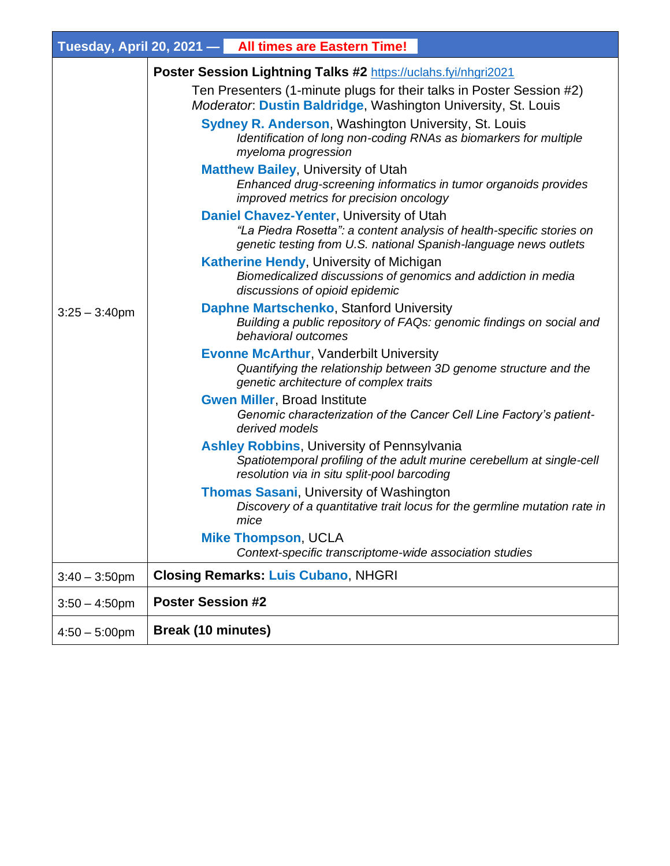|                  |                           | Tuesday, April 20, 2021 - All times are Eastern Time!                                                                                                                                 |
|------------------|---------------------------|---------------------------------------------------------------------------------------------------------------------------------------------------------------------------------------|
|                  |                           | Poster Session Lightning Talks #2 https://uclahs.fyi/nhgri2021                                                                                                                        |
|                  |                           | Ten Presenters (1-minute plugs for their talks in Poster Session #2)<br>Moderator: Dustin Baldridge, Washington University, St. Louis                                                 |
| $3:25 - 3:40$ pm |                           | <b>Sydney R. Anderson, Washington University, St. Louis</b><br>Identification of long non-coding RNAs as biomarkers for multiple<br>myeloma progression                               |
|                  |                           | <b>Matthew Bailey, University of Utah</b><br>Enhanced drug-screening informatics in tumor organoids provides<br>improved metrics for precision oncology                               |
|                  |                           | Daniel Chavez-Yenter, University of Utah<br>"La Piedra Rosetta": a content analysis of health-specific stories on<br>genetic testing from U.S. national Spanish-language news outlets |
|                  |                           | <b>Katherine Hendy, University of Michigan</b><br>Biomedicalized discussions of genomics and addiction in media<br>discussions of opioid epidemic                                     |
|                  |                           | Daphne Martschenko, Stanford University<br>Building a public repository of FAQs: genomic findings on social and<br>behavioral outcomes                                                |
|                  |                           | <b>Evonne McArthur, Vanderbilt University</b><br>Quantifying the relationship between 3D genome structure and the<br>genetic architecture of complex traits                           |
|                  |                           | <b>Gwen Miller, Broad Institute</b><br>Genomic characterization of the Cancer Cell Line Factory's patient-<br>derived models                                                          |
|                  |                           | <b>Ashley Robbins, University of Pennsylvania</b><br>Spatiotemporal profiling of the adult murine cerebellum at single-cell<br>resolution via in situ split-pool barcoding            |
|                  |                           | <b>Thomas Sasani, University of Washington</b><br>Discovery of a quantitative trait locus for the germline mutation rate in<br>mice                                                   |
|                  |                           | <b>Mike Thompson, UCLA</b><br>Context-specific transcriptome-wide association studies                                                                                                 |
| $3:40 - 3:50$ pm |                           | <b>Closing Remarks: Luis Cubano, NHGRI</b>                                                                                                                                            |
| $3:50 - 4:50$ pm | <b>Poster Session #2</b>  |                                                                                                                                                                                       |
| $4:50 - 5:00$ pm | <b>Break (10 minutes)</b> |                                                                                                                                                                                       |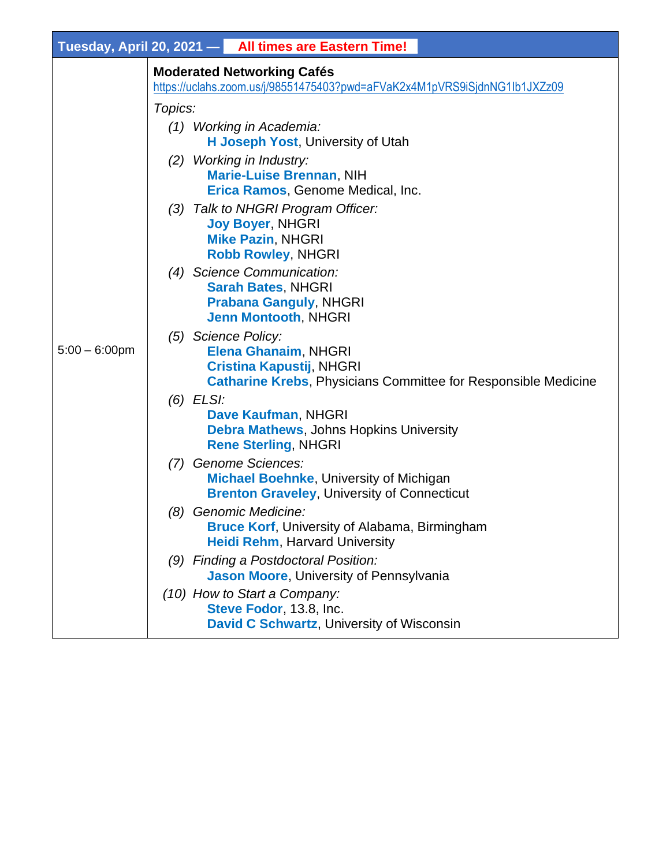|                  | Tuesday, April 20, 2021 - All times are Eastern Time!                                                                                                   |
|------------------|---------------------------------------------------------------------------------------------------------------------------------------------------------|
|                  | <b>Moderated Networking Cafés</b><br>https://uclahs.zoom.us/j/98551475403?pwd=aFVaK2x4M1pVRS9iSjdnNG1lb1JXZz09                                          |
|                  | Topics:                                                                                                                                                 |
|                  | (1) Working in Academia:<br>H Joseph Yost, University of Utah                                                                                           |
| $5:00 - 6:00$ pm | (2) Working in Industry:<br><b>Marie-Luise Brennan, NIH</b><br>Erica Ramos, Genome Medical, Inc.                                                        |
|                  | (3) Talk to NHGRI Program Officer:<br><b>Joy Boyer, NHGRI</b><br><b>Mike Pazin, NHGRI</b><br><b>Robb Rowley, NHGRI</b>                                  |
|                  | (4) Science Communication:<br><b>Sarah Bates, NHGRI</b><br><b>Prabana Ganguly, NHGRI</b><br><b>Jenn Montooth, NHGRI</b>                                 |
|                  | (5) Science Policy:<br>Elena Ghanaim, NHGRI<br><b>Cristina Kapustij, NHGRI</b><br><b>Catharine Krebs, Physicians Committee for Responsible Medicine</b> |
|                  | $(6)$ ELSI:<br>Dave Kaufman, NHGRI<br><b>Debra Mathews, Johns Hopkins University</b><br><b>Rene Sterling, NHGRI</b>                                     |
|                  | (7) Genome Sciences:<br><b>Michael Boehnke, University of Michigan</b><br><b>Brenton Graveley, University of Connecticut</b>                            |
|                  | Genomic Medicine:<br>(8)<br>Bruce Korf, University of Alabama, Birmingham<br><b>Heidi Rehm, Harvard University</b>                                      |
|                  | (9) Finding a Postdoctoral Position:<br>Jason Moore, University of Pennsylvania                                                                         |
|                  | (10) How to Start a Company:<br>Steve Fodor, 13.8, Inc.<br>David C Schwartz, University of Wisconsin                                                    |